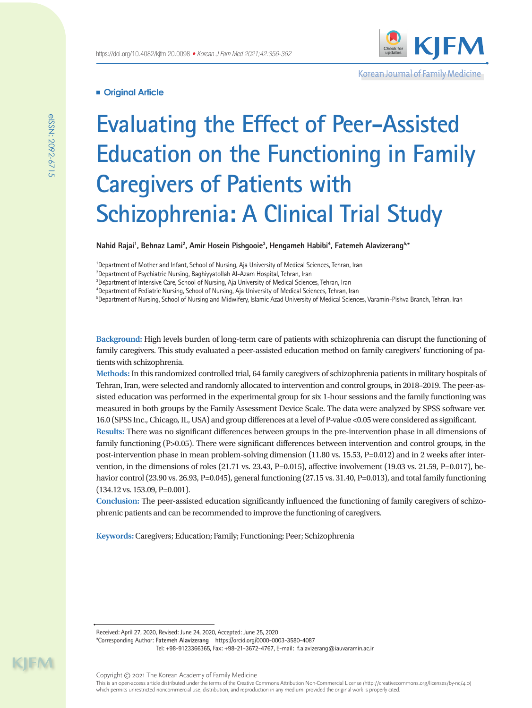

Korean Journal of Family Medicine

# **Original Article**

# **Evaluating the Effect of Peer-Assisted Education on the Functioning in Family Caregivers of Patients with Schizophrenia: A Clinical Trial Study**

**Nahid Rajai1 , Behnaz Lami2 , Amir Hosein Pishgooie3 , Hengameh Habibi4 , Fatemeh Alavizerang5,\***

1 Department of Mother and Infant, School of Nursing, Aja University of Medical Sciences, Tehran, Iran

 $^{2}$ Department of Psychiatric Nursing, Baghiyyatollah Al-Azam Hospital, Tehran, Iran

<sup>3</sup>Department of Intensive Care, School of Nursing, Aja University of Medical Sciences, Tehran, Iran

4 Department of Pediatric Nursing, School of Nursing, Aja University of Medical Sciences, Tehran, Iran

5 Department of Nursing, School of Nursing and Midwifery, Islamic Azad University of Medical Sciences, Varamin-Pishva Branch, Tehran, Iran

**Background:** High levels burden of long-term care of patients with schizophrenia can disrupt the functioning of family caregivers. This study evaluated a peer-assisted education method on family caregivers' functioning of patients with schizophrenia.

**Methods:** In this randomized controlled trial, 64 family caregivers of schizophrenia patients in military hospitals of Tehran, Iran, were selected and randomly allocated to intervention and control groups, in 2018–2019. The peer-assisted education was performed in the experimental group for six 1-hour sessions and the family functioning was measured in both groups by the Family Assessment Device Scale. The data were analyzed by SPSS software ver. 16.0 (SPSS Inc., Chicago, IL, USA) and group differences at a level of P-value <0.05 were considered as significant. **Results:** There was no significant differences between groups in the pre-intervention phase in all dimensions of family functioning (P>0.05). There were significant differences between intervention and control groups, in the post-intervention phase in mean problem-solving dimension (11.80 vs. 15.53, P=0.012) and in 2 weeks after intervention, in the dimensions of roles (21.71 vs. 23.43, P=0.015), affective involvement (19.03 vs. 21.59, P=0.017), behavior control (23.90 vs. 26.93, P=0.045), general functioning (27.15 vs. 31.40, P=0.013), and total family functioning (134.12 vs. 153.09, P=0.001).

**Conclusion:** The peer-assisted education significantly influenced the functioning of family caregivers of schizophrenic patients and can be recommended to improve the functioning of caregivers.

**Keywords:** Caregivers; Education; Family; Functioning; Peer; Schizophrenia

Received: April 27, 2020, Revised: June 24, 2020, Accepted: June 25, 2020

\*Corresponding Author: **Fatemeh Alavizerang** https://orcid.org/0000-0003-3580-4087

Tel: +98-9123366365, Fax: +98-21-3672-4767, E-mail: f.alavizerang@iauvaramin.ac.ir

KIM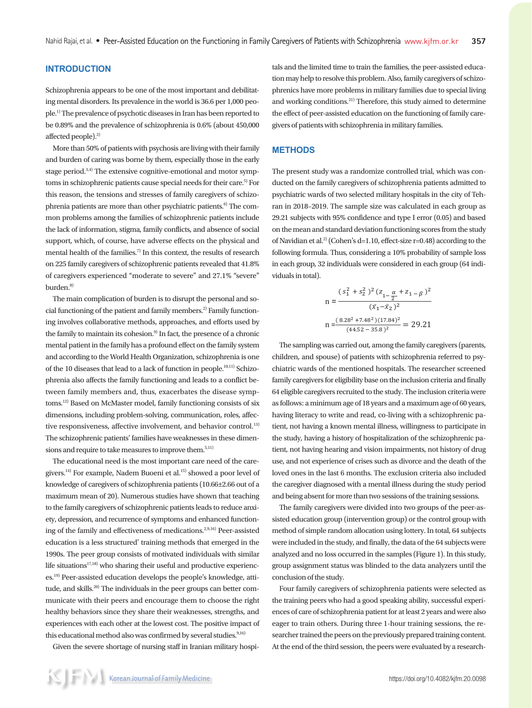# **INTRODUCTION**

Schizophrenia appears to be one of the most important and debilitating mental disorders. Its prevalence in the world is 36.6 per 1,000 people.1) The prevalence of psychotic diseases in Iran has been reported to be 0.89% and the prevalence of schizophrenia is 0.6% (about 450,000 affected people).<sup>2)</sup>

More than 50% of patients with psychosis are living with their family and burden of caring was borne by them, especially those in the early stage period.<sup>3,4)</sup> The extensive cognitive-emotional and motor symptoms in schizophrenic patients cause special needs for their care.<sup>5)</sup> For this reason, the tensions and stresses of family caregivers of schizophrenia patients are more than other psychiatric patients.<sup>6)</sup> The common problems among the families of schizophrenic patients include the lack of information, stigma, family conflicts, and absence of social support, which, of course, have adverse effects on the physical and mental health of the families.<sup>7)</sup> In this context, the results of research on 225 family caregivers of schizophrenic patients revealed that 41.8% of caregivers experienced "moderate to severe" and 27.1% "severe" burden.<sup>8)</sup>

The main complication of burden is to disrupt the personal and social functioning of the patient and family members.<sup>2)</sup> Family functioning involves collaborative methods, approaches, and efforts used by the family to maintain its cohesion.<sup>9)</sup> In fact, the presence of a chronic mental patient in the family has a profound effect on the family system and according to the World Health Organization, schizophrenia is one of the 10 diseases that lead to a lack of function in people.10,11) Schizophrenia also affects the family functioning and leads to a conflict between family members and, thus, exacerbates the disease symptoms.12) Based on McMaster model, family functioning consists of six dimensions, including problem-solving, communication, roles, affective responsiveness, affective involvement, and behavior control.<sup>13)</sup> The schizophrenic patients' families have weaknesses in these dimensions and require to take measures to improve them.<sup>5,11)</sup>

The educational need is the most important care need of the caregivers.14) For example, Nadem Buoeni et al.15) showed a poor level of knowledge of caregivers of schizophrenia patients (10.66±2.66 out of a maximum mean of 20). Numerous studies have shown that teaching to the family caregivers of schizophrenic patients leads to reduce anxiety, depression, and recurrence of symptoms and enhanced functioning of the family and effectiveness of medications.<sup>2,9,16)</sup> Peer-assisted education is a less structured' training methods that emerged in the 1990s. The peer group consists of motivated individuals with similar life situations $17,18)$  who sharing their useful and productive experiences.19) Peer-assisted education develops the people's knowledge, attitude, and skills.<sup>20)</sup> The individuals in the peer groups can better communicate with their peers and encourage them to choose the right healthy behaviors since they share their weaknesses, strengths, and experiences with each other at the lowest cost. The positive impact of this educational method also was confirmed by several studies.<sup>9,16)</sup>

Given the severe shortage of nursing staff in Iranian military hospi-

tals and the limited time to train the families, the peer-assisted education may help to resolve this problem. Also, family caregivers of schizophrenics have more problems in military families due to special living and working conditions.<sup>21)</sup> Therefore, this study aimed to determine the effect of peer-assisted education on the functioning of family caregivers of patients with schizophrenia in military families.

# **METHODS**

The present study was a randomize controlled trial, which was conducted on the family caregivers of schizophrenia patients admitted to psychiatric wards of two selected military hospitals in the city of Tehran in 2018–2019. The sample size was calculated in each group as 29.21 subjects with 95% confidence and type I error (0.05) and based on the mean and standard deviation functioning scores from the study of Navidian et al.<sup>2)</sup> (Cohen's d=1.10, effect-size  $r=0.48$ ) according to the following formula. Thus, considering a 10% probability of sample loss in each group, 32 individuals were considered in each group (64 individuals in total).

$$
n = \frac{(s_1^2 + s_2^2)^2 (z_{1-\frac{\alpha}{2}} + z_{1-\beta})^2}{(\bar{x}_1 - \bar{x}_2)^2}
$$

$$
n = \frac{(8.28^2 + 7.48^2)(17.84)^2}{(44.52 - 35.8)^2} = 29.21
$$

The sampling was carried out, among the family caregivers (parents, children, and spouse) of patients with schizophrenia referred to psychiatric wards of the mentioned hospitals. The researcher screened family caregivers for eligibility base on the inclusion criteria and finally 64 eligible caregivers recruited to the study. The inclusion criteria were as follows: a minimum age of 18 years and a maximum age of 60 years, having literacy to write and read, co-living with a schizophrenic patient, not having a known mental illness, willingness to participate in the study, having a history of hospitalization of the schizophrenic patient, not having hearing and vision impairments, not history of drug use, and not experience of crises such as divorce and the death of the loved ones in the last 6 months. The exclusion criteria also included the caregiver diagnosed with a mental illness during the study period and being absent for more than two sessions of the training sessions.

The family caregivers were divided into two groups of the peer-assisted education group (intervention group) or the control group with method of simple random allocation using lottery. In total, 64 subjects were included in the study, and finally, the data of the 64 subjects were analyzed and no loss occurred in the samples (Figure 1). In this study, group assignment status was blinded to the data analyzers until the conclusion of the study.

Four family caregivers of schizophrenia patients were selected as the training peers who had a good speaking ability, successful experiences of care of schizophrenia patient for at least 2 years and were also eager to train others. During three 1-hour training sessions, the researcher trained the peers on the previously prepared training content. At the end of the third session, the peers were evaluated by a research-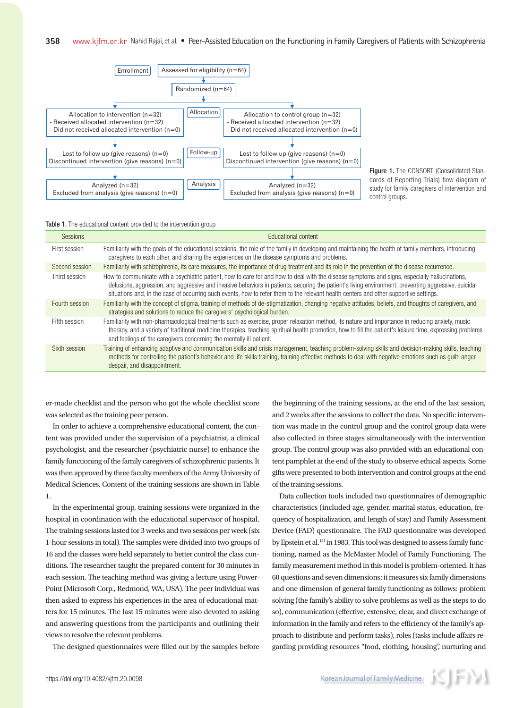

Figure 1. The CONSORT (Consolidated Standards of Reporting Trials) flow diagram of study for family caregivers of intervention and control groups.

#### Table 1. The educational content provided to the intervention group

| <b>Sessions</b> | Educational content                                                                                                                                                                                                                                                                                                                                                                                                                             |
|-----------------|-------------------------------------------------------------------------------------------------------------------------------------------------------------------------------------------------------------------------------------------------------------------------------------------------------------------------------------------------------------------------------------------------------------------------------------------------|
| First session   | Familiarity with the goals of the educational sessions, the role of the family in developing and maintaining the health of family members, introducing<br>caregivers to each other, and sharing the experiences on the disease symptoms and problems.                                                                                                                                                                                           |
| Second session  | Familiarity with schizophrenia, its care measures, the importance of drug treatment and its role in the prevention of the disease recurrence.                                                                                                                                                                                                                                                                                                   |
| Third session   | How to communicate with a psychiatric patient, how to care for and how to deal with the disease symptoms and signs, especially hallucinations,<br>delusions, aggression, and aggressive and invasive behaviors in patients, securing the patient's living environment, preventing aggressive, suicidal<br>situations and, in the case of occurring such events, how to refer them to the relevant health centers and other supportive settings. |
| Fourth session  | Familiarity with the concept of stigma, training of methods of de-stigmatization, changing negative attitudes, beliefs, and thoughts of caregivers, and<br>strategies and solutions to reduce the caregivers' psychological burden.                                                                                                                                                                                                             |
| Fifth session   | Familiarity with non-pharmacological treatments such as exercise, proper relaxation method, its nature and importance in reducing anxiety, music<br>therapy, and a variety of traditional medicine therapies, teaching spiritual health promotion, how to fill the patient's leisure time, expressing problems<br>and feelings of the caregivers concerning the mentally ill patient.                                                           |
| Sixth session   | Training of enhancing adaptive and communication skills and crisis management, teaching problem-solving skills and decision-making skills, teaching<br>methods for controlling the patient's behavior and life skills training, training effective methods to deal with negative emotions such as quilt, anger,<br>despair, and disappointment.                                                                                                 |

er-made checklist and the person who got the whole checklist score was selected as the training peer person.

In order to achieve a comprehensive educational content, the content was provided under the supervision of a psychiatrist, a clinical psychologist, and the researcher (psychiatric nurse) to enhance the family functioning of the family caregivers of schizophrenic patients. It was then approved by three faculty members of the Army University of Medical Sciences. Content of the training sessions are shown in Table 1.

In the experimental group, training sessions were organized in the hospital in coordination with the educational supervisor of hospital. The training sessions lasted for 3 weeks and two sessions per week (six 1-hour sessions in total). The samples were divided into two groups of 16 and the classes were held separately to better control the class conditions. The researcher taught the prepared content for 30 minutes in each session. The teaching method was giving a lecture using Power-Point (Microsoft Corp., Redmond, WA, USA). The peer individual was then asked to express his experiences in the area of educational matters for 15 minutes. The last 15 minutes were also devoted to asking and answering questions from the participants and outlining their views to resolve the relevant problems.

The designed questionnaires were filled out by the samples before

the beginning of the training sessions, at the end of the last session, and 2 weeks after the sessions to collect the data. No specific intervention was made in the control group and the control group data were also collected in three stages simultaneously with the intervention group. The control group was also provided with an educational content pamphlet at the end of the study to observe ethical aspects. Some gifts were presented to both intervention and control groups at the end of the training sessions.

Data collection tools included two questionnaires of demographic characteristics (included age, gender, marital status, education, frequency of hospitalization, and length of stay) and Family Assessment Device (FAD) questionnaire. The FAD questionnaire was developed by Epstein et al.<sup>13)</sup> in 1983. This tool was designed to assess family functioning, named as the McMaster Model of Family Functioning. The family measurement method in this model is problem-oriented. It has 60 questions and seven dimensions; it measures six family dimensions and one dimension of general family functioning as follows: problem solving (the family's ability to solve problems as well as the steps to do so), communication (effective, extensive, clear, and direct exchange of information in the family and refers to the efficiency of the family's approach to distribute and perform tasks), roles (tasks include affairs regarding providing resources "food, clothing, housing", nurturing and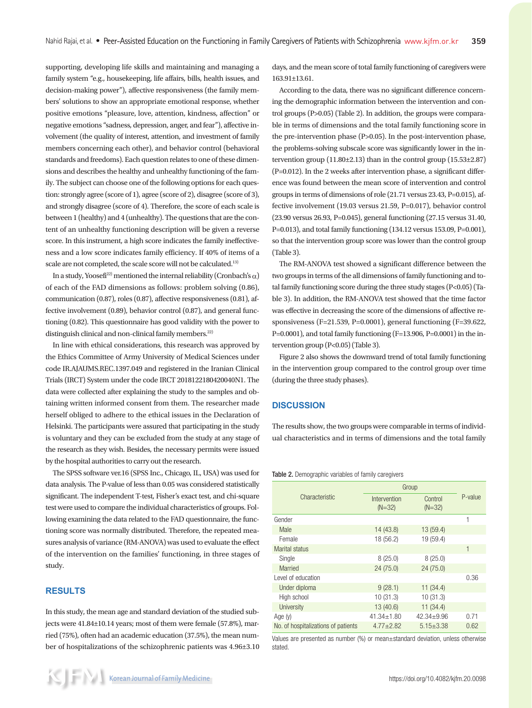supporting, developing life skills and maintaining and managing a family system "e.g., housekeeping, life affairs, bills, health issues, and decision-making power"), affective responsiveness (the family members' solutions to show an appropriate emotional response, whether positive emotions "pleasure, love, attention, kindness, affection" or negative emotions "sadness, depression, anger, and fear"), affective involvement (the quality of interest, attention, and investment of family members concerning each other), and behavior control (behavioral standards and freedoms). Each question relates to one of these dimensions and describes the healthy and unhealthy functioning of the family. The subject can choose one of the following options for each question: strongly agree (score of 1), agree (score of 2), disagree (score of 3), and strongly disagree (score of 4). Therefore, the score of each scale is between 1 (healthy) and 4 (unhealthy). The questions that are the content of an unhealthy functioning description will be given a reverse score. In this instrument, a high score indicates the family ineffectiveness and a low score indicates family efficiency. If 40% of items of a scale are not completed, the scale score will not be calculated.13)

In a study, Yoosefi<sup>22)</sup> mentioned the internal reliability (Cronbach's  $\alpha$ ) of each of the FAD dimensions as follows: problem solving (0.86), communication (0.87), roles (0.87), affective responsiveness (0.81), affective involvement (0.89), behavior control (0.87), and general functioning (0.82). This questionnaire has good validity with the power to distinguish clinical and non-clinical family members.<sup>22)</sup>

In line with ethical considerations, this research was approved by the Ethics Committee of Army University of Medical Sciences under code IR.AJAUMS.REC.1397.049 and registered in the Iranian Clinical Trials (IRCT) System under the code IRCT 2018122180420040N1. The data were collected after explaining the study to the samples and obtaining written informed consent from them. The researcher made herself obliged to adhere to the ethical issues in the Declaration of Helsinki. The participants were assured that participating in the study is voluntary and they can be excluded from the study at any stage of the research as they wish. Besides, the necessary permits were issued by the hospital authorities to carry out the research.

The SPSS software ver.16 (SPSS Inc., Chicago, IL, USA) was used for data analysis. The P-value of less than 0.05 was considered statistically significant. The independent T-test, Fisher's exact test, and chi-square test were used to compare the individual characteristics of groups. Following examining the data related to the FAD questionnaire, the functioning score was normally distributed. Therefore, the repeated measures analysis of variance (RM-ANOVA) was used to evaluate the effect of the intervention on the families' functioning, in three stages of study.

## **RESULTS**

In this study, the mean age and standard deviation of the studied subjects were 41.84±10.14 years; most of them were female (57.8%), married (75%), often had an academic education (37.5%), the mean number of hospitalizations of the schizophrenic patients was 4.96±3.10 days, and the mean score of total family functioning of caregivers were 163.91±13.61.

According to the data, there was no significant difference concerning the demographic information between the intervention and control groups (P>0.05) (Table 2). In addition, the groups were comparable in terms of dimensions and the total family functioning score in the pre-intervention phase (P>0.05). In the post-intervention phase, the problems-solving subscale score was significantly lower in the intervention group  $(11.80\pm2.13)$  than in the control group  $(15.53\pm2.87)$ (P=0.012). In the 2 weeks after intervention phase, a significant difference was found between the mean score of intervention and control groups in terms of dimensions of role (21.71 versus 23.43, P=0.015), affective involvement (19.03 versus 21.59, P=0.017), behavior control (23.90 versus 26.93, P=0.045), general functioning (27.15 versus 31.40, P=0.013), and total family functioning (134.12 versus 153.09, P=0.001), so that the intervention group score was lower than the control group (Table 3).

The RM-ANOVA test showed a significant difference between the two groups in terms of the all dimensions of family functioning and total family functioning score during the three study stages (P<0.05) (Table 3). In addition, the RM-ANOVA test showed that the time factor was effective in decreasing the score of the dimensions of affective responsiveness (F=21.539, P=0.0001), general functioning (F=39.622, P=0.0001), and total family functioning (F=13.906, P=0.0001) in the intervention group (P<0.05) (Table 3).

Figure 2 also shows the downward trend of total family functioning in the intervention group compared to the control group over time (during the three study phases).

### **DISCUSSION**

The results show, the two groups were comparable in terms of individual characteristics and in terms of dimensions and the total family

#### Table 2. Demographic variables of family caregivers

|                                     | Group                    |                     |         |  |
|-------------------------------------|--------------------------|---------------------|---------|--|
| Characteristic                      | Intervention<br>$(N=32)$ | Control<br>$(N=32)$ | P-value |  |
| Gender                              |                          |                     | 1       |  |
| Male                                | 14 (43.8)                | 13 (59.4)           |         |  |
| Female                              | 18 (56.2)                | 19 (59.4)           |         |  |
| Marital status                      |                          |                     | 1       |  |
| Single                              | 8(25.0)                  | 8(25.0)             |         |  |
| Married                             | 24(75.0)                 | 24 (75.0)           |         |  |
| Level of education                  |                          |                     | 0.36    |  |
| Under diploma                       | 9(28.1)                  | 11(34.4)            |         |  |
| High school                         | 10(31.3)                 | 10(31.3)            |         |  |
| University                          | 13(40.6)                 | 11(34.4)            |         |  |
| Age $(y)$                           | $41.34 \pm 1.80$         | $42.34 + 9.96$      | 0.71    |  |
| No. of hospitalizations of patients | $4.77 + 2.82$            | $5.15 \pm 3.38$     | 0.62    |  |

Values are presented as number (%) or mean±standard deviation, unless otherwise stated.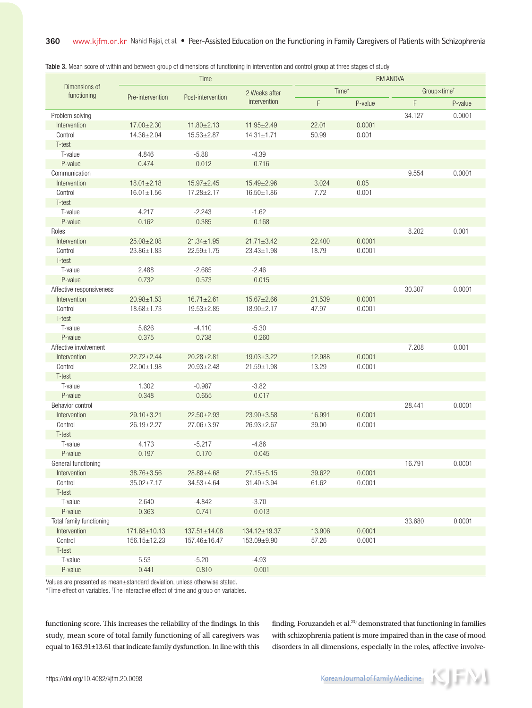|                              | Time             |                    |                               | <b>RM ANOVA</b> |         |                         |         |
|------------------------------|------------------|--------------------|-------------------------------|-----------------|---------|-------------------------|---------|
| Dimensions of<br>functioning | Pre-intervention | Post-intervention  | 2 Weeks after<br>intervention | Time*           |         | Group×time <sup>+</sup> |         |
|                              |                  |                    |                               | F               | P-value | F                       | P-value |
| Problem solving              |                  |                    |                               |                 |         | 34.127                  | 0.0001  |
| Intervention                 | $17.00 \pm 2.30$ | $11.80 \pm 2.13$   | $11.95 \pm 2.49$              | 22.01           | 0.0001  |                         |         |
| Control                      | $14.36 \pm 2.04$ | $15.53 \pm 2.87$   | $14.31 \pm 1.71$              | 50.99           | 0.001   |                         |         |
| T-test                       |                  |                    |                               |                 |         |                         |         |
| T-value                      | 4.846            | $-5.88$            | $-4.39$                       |                 |         |                         |         |
| P-value                      | 0.474            | 0.012              | 0.716                         |                 |         |                         |         |
| Communication                |                  |                    |                               |                 |         | 9.554                   | 0.0001  |
| Intervention                 | $18.01 \pm 2.18$ | $15.97 \pm 2.45$   | 15.49±2.96                    | 3.024           | 0.05    |                         |         |
| Control                      | $16.01 \pm 1.56$ | $17.28 + 2.17$     | $16.50 \pm 1.86$              | 7.72            | 0.001   |                         |         |
| T-test                       |                  |                    |                               |                 |         |                         |         |
| T-value                      | 4.217            | $-2.243$           | $-1.62$                       |                 |         |                         |         |
| P-value                      | 0.162            | 0.385              | 0.168                         |                 |         |                         |         |
| Roles                        |                  |                    |                               |                 |         | 8.202                   | 0.001   |
| Intervention                 | $25.08 \pm 2.08$ | $21.34 \pm 1.95$   | $21.71 \pm 3.42$              | 22.400          | 0.0001  |                         |         |
| Control                      | $23.86 \pm 1.83$ | $22.59 \pm 1.75$   | $23.43 \pm 1.98$              | 18.79           | 0.0001  |                         |         |
| T-test                       |                  |                    |                               |                 |         |                         |         |
| T-value                      | 2.488            | $-2.685$           | $-2.46$                       |                 |         |                         |         |
| P-value                      | 0.732            | 0.573              | 0.015                         |                 |         |                         |         |
| Affective responsiveness     |                  |                    |                               |                 |         | 30.307                  | 0.0001  |
| Intervention                 | $20.98 \pm 1.53$ | $16.71 \pm 2.61$   | $15.67 \pm 2.66$              | 21.539          | 0.0001  |                         |         |
| Control                      | 18.68±1.73       | $19.53 \pm 2.85$   | 18.90±2.17                    | 47.97           | 0.0001  |                         |         |
| T-test                       |                  |                    |                               |                 |         |                         |         |
| T-value                      | 5.626            | $-4.110$           | $-5.30$                       |                 |         |                         |         |
| P-value                      | 0.375            | 0.738              | 0.260                         |                 |         |                         |         |
| Affective involvement        |                  |                    |                               |                 |         | 7.208                   | 0.001   |
| Intervention                 | $22.72 \pm 2.44$ | $20.28 \pm 2.81$   | $19.03 \pm 3.22$              | 12.988          | 0.0001  |                         |         |
| Control                      | 22.00±1.98       | $20.93 \pm 2.48$   | $21.59 \pm 1.98$              | 13.29           | 0.0001  |                         |         |
| T-test                       |                  |                    |                               |                 |         |                         |         |
| T-value                      | 1.302            | $-0.987$           | $-3.82$                       |                 |         |                         |         |
| P-value                      | 0.348            | 0.655              | 0.017                         |                 |         |                         |         |
| Behavior control             |                  |                    |                               |                 |         | 28.441                  | 0.0001  |
| Intervention                 | 29.10±3.21       | $22.50 \pm 2.93$   | $23.90 \pm 3.58$              | 16.991          | 0.0001  |                         |         |
| Control                      | 26.19±2.27       | 27.06±3.97         | $26.93 \pm 2.67$              | 39.00           | 0.0001  |                         |         |
| T-test                       |                  |                    |                               |                 |         |                         |         |
| T-value                      | 4.173            | $-5.217$           | $-4.86$                       |                 |         |                         |         |
| P-value                      | 0.197            | 0.170              | 0.045                         |                 |         |                         |         |
| General functioning          |                  |                    |                               |                 |         | 16.791                  | 0.0001  |
| Intervention                 | 38.76±3.56       | 28.88±4.68         | $27.15 \pm 5.15$              | 39.622          | 0.0001  |                         |         |
| Control                      | $35.02 \pm 7.17$ | $34.53 + 4.64$     | 31.40±3.94                    | 61.62           | 0.0001  |                         |         |
| T-test                       |                  |                    |                               |                 |         |                         |         |
| T-value                      | 2.640            | $-4.842$           | $-3.70$                       |                 |         |                         |         |
| P-value                      | 0.363            | 0.741              | 0.013                         |                 |         |                         |         |
| Total family functioning     |                  |                    |                               |                 |         | 33.680                  | 0.0001  |
| Intervention                 | 171.68±10.13     | $137.51 \pm 14.08$ | 134.12±19.37                  | 13.906          | 0.0001  |                         |         |
| Control                      | 156.15±12.23     | 157.46±16.47       | 153.09±9.90                   | 57.26           | 0.0001  |                         |         |
| T-test                       |                  |                    |                               |                 |         |                         |         |
| T-value                      | 5.53             | $-5.20$            | $-4.93$                       |                 |         |                         |         |
| P-value                      | 0.441            | 0.810              | 0.001                         |                 |         |                         |         |

Table 3. Mean score of within and between group of dimensions of functioning in intervention and control group at three stages of study

Values are presented as mean±standard deviation, unless otherwise stated.

\*Time effect on variables. <sup>†</sup>The interactive effect of time and group on variables.

functioning score. This increases the reliability of the findings. In this study, mean score of total family functioning of all caregivers was equal to 163.91±13.61 that indicate family dysfunction. In line with this finding, Foruzandeh et al. $^{23)}$  demonstrated that functioning in families with schizophrenia patient is more impaired than in the case of mood disorders in all dimensions, especially in the roles, affective involve-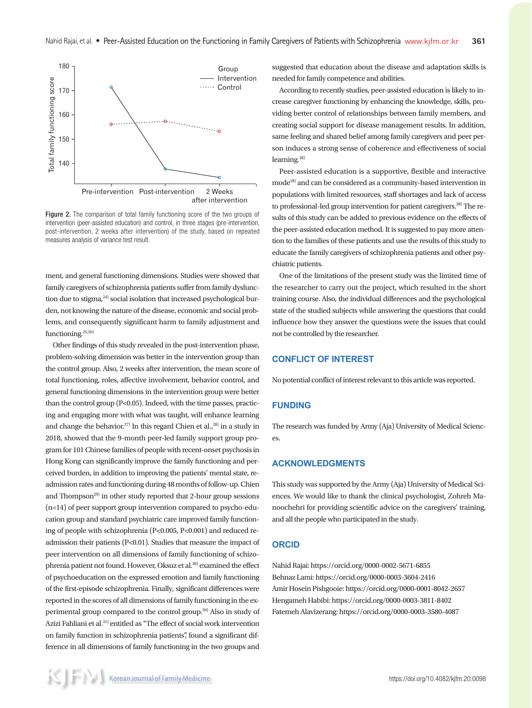

Figure 2. The comparison of total family functioning score of the two groups of intervention (peer-assisted education) and control, in three stages (pre-intervention, post-intervention, 2 weeks after intervention) of the study, based on repeated measures analysis of variance test result.

ment, and general functioning dimensions. Studies were showed that family caregivers of schizophrenia patients suffer from family dysfunction due to stigma,<sup>24)</sup> social isolation that increased psychological burden, not knowing the nature of the disease, economic and social problems, and consequently significant harm to family adjustment and functioning.25,26)

Other findings of this study revealed in the post-intervention phase, problem-solving dimension was better in the intervention group than the control group. Also, 2 weeks after intervention, the mean score of total functioning, roles, affective involvement, behavior control, and general functioning dimensions in the intervention group were better than the control group (P<0.05). Indeed, with the time passes, practicing and engaging more with what was taught, will enhance learning and change the behavior.<sup>27)</sup> In this regard Chien et al.,<sup>28)</sup> in a study in 2018, showed that the 9-month peer-led family support group program for 101 Chinese families of people with recent-onset psychosis in Hong Kong can significantly improve the family functioning and perceived burden, in addition to improving the patients' mental state, readmission rates and functioning during 48 months of follow-up. Chien and Thompson<sup>29)</sup> in other study reported that 2-hour group sessions (n=14) of peer support group intervention compared to psycho-education group and standard psychiatric care improved family functioning of people with schizophrenia (P<0.005, P<0.001) and reduced readmission their patients (P<0.01). Studies that measure the impact of peer intervention on all dimensions of family functioning of schizophrenia patient not found. However, Oksuz et al.<sup>30)</sup> examined the effect of psychoeducation on the expressed emotion and family functioning of the first-episode schizophrenia. Finally, significant differences were reported in the scores of all dimensions of family functioning in the experimental group compared to the control group.<sup>30)</sup> Also in study of Azizi Fahliani et al.<sup>31)</sup> entitled as "The effect of social work intervention on family function in schizophrenia patients", found a significant difference in all dimensions of family functioning in the two groups and

suggested that education about the disease and adaptation skills is needed for family competence and abilities.

According to recently studies, peer-assisted education is likely to increase caregiver functioning by enhancing the knowledge, skills, providing better control of relationships between family members, and creating social support for disease management results. In addition, same feeling and shared belief among family caregivers and peer person induces a strong sense of coherence and effectiveness of social learning.<sup>18)</sup>

Peer-assisted education is a supportive, flexible and interactive mode18) and can be considered as a community-based intervention in populations with limited resources, staff shortages and lack of access to professional-led group intervention for patient caregivers.<sup>28)</sup> The results of this study can be added to previous evidence on the effects of the peer-assisted education method. It is suggested to pay more attention to the families of these patients and use the results of this study to educate the family caregivers of schizophrenia patients and other psychiatric patients.

One of the limitations of the present study was the limited time of the researcher to carry out the project, which resulted in the short training course. Also, the individual differences and the psychological state of the studied subjects while answering the questions that could influence how they answer the questions were the issues that could not be controlled by the researcher.

# **CONFLICT OF INTEREST**

No potential conflict of interest relevant to this article was reported.

# **FUNDING**

The research was funded by Army (Aja) University of Medical Sciences.

# **ACKNOWLEDGMENTS**

This study was supported by the Army (Aja) University of Medical Sciences. We would like to thank the clinical psychologist, Zohreh Manoochehri for providing scientific advice on the caregivers' training, and all the people who participated in the study.

## **ORCID**

Nahid Rajai: https://orcid.org/0000-0002-5671-6855 Behnaz Lami: https://orcid.org/0000-0003-3604-2416 Amir Hosein Pishgooie: https://orcid.org/0000-0001-8042-2657 Hengameh Habibi: https://orcid.org/0000-0003-3811-8402 Fatemeh Alavizerang: https://orcid.org/0000-0003-3580-4087